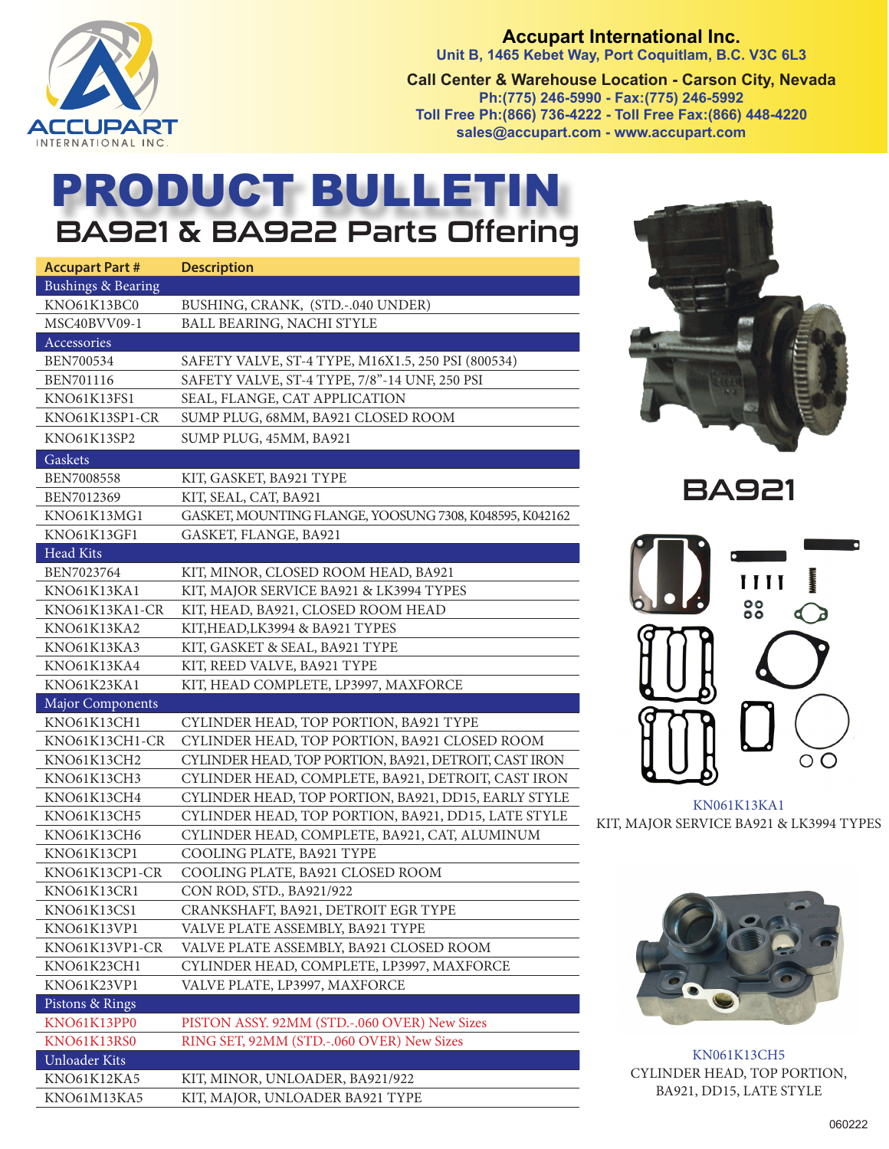

**Accupart International Inc. Unit B, 1465 Kebet Way, Port Coquitlam, B.C. V3C 6L3 Call Center & Warehouse Location - Carson City, Nevada Ph:(775) 246-5990 - Fax:(775) 246-5992 Toll Free Ph:(866) 736-4222 - Toll Free Fax:(866) 448-4220 sales@accupart.com - www.accupart.com** 

## PRODUCT BULLETIN BA921 & BA922 Parts Offering

| <b>Accupart Part #</b>        | <b>Description</b>                                      |
|-------------------------------|---------------------------------------------------------|
| <b>Bushings &amp; Bearing</b> |                                                         |
| KNO61K13BC0                   | BUSHING, CRANK, (STD.-.040 UNDER)                       |
| MSC40BVV09-1                  | BALL BEARING, NACHI STYLE                               |
| Accessories                   |                                                         |
| BEN700534                     | SAFETY VALVE, ST-4 TYPE, M16X1.5, 250 PSI (800534)      |
| <b>BEN701116</b>              | SAFETY VALVE, ST-4 TYPE, 7/8"-14 UNF, 250 PSI           |
| KNO61K13FS1                   | SEAL, FLANGE, CAT APPLICATION                           |
| KNO61K13SP1-CR                | SUMP PLUG, 68MM, BA921 CLOSED ROOM                      |
| KNO61K13SP2                   | SUMP PLUG, 45MM, BA921                                  |
| Gaskets                       |                                                         |
| <b>BEN7008558</b>             | KIT, GASKET, BA921 TYPE                                 |
| BEN7012369                    | KIT, SEAL, CAT, BA921                                   |
| KNO61K13MG1                   | GASKET, MOUNTING FLANGE, YOOSUNG 7308, K048595, K042162 |
| KNO61K13GF1                   | GASKET, FLANGE, BA921                                   |
| Head Kits                     |                                                         |
| BEN7023764                    | KIT, MINOR, CLOSED ROOM HEAD, BA921                     |
| KNO61K13KA1                   | KIT, MAJOR SERVICE BA921 & LK3994 TYPES                 |
| KNO61K13KA1-CR                | KIT, HEAD, BA921, CLOSED ROOM HEAD                      |
| KNO61K13KA2                   | KIT, HEAD, LK3994 & BA921 TYPES                         |
| KNO61K13KA3                   | KIT, GASKET & SEAL, BA921 TYPE                          |
| KNO61K13KA4                   | KIT, REED VALVE, BA921 TYPE                             |
|                               |                                                         |
| KNO61K23KA1                   | KIT, HEAD COMPLETE, LP3997, MAXFORCE                    |
| <b>Major Components</b>       |                                                         |
| KNO61K13CH1                   | CYLINDER HEAD, TOP PORTION, BA921 TYPE                  |
| KNO61K13CH1-CR                | CYLINDER HEAD, TOP PORTION, BA921 CLOSED ROOM           |
| KNO61K13CH2                   | CYLINDER HEAD, TOP PORTION, BA921, DETROIT, CAST IRON   |
| KNO61K13CH3                   | CYLINDER HEAD, COMPLETE, BA921, DETROIT, CAST IRON      |
| KNO61K13CH4                   | CYLINDER HEAD, TOP PORTION, BA921, DD15, EARLY STYLE    |
| KNO61K13CH5                   | CYLINDER HEAD, TOP PORTION, BA921, DD15, LATE STYLE     |
| KNO61K13CH6                   | CYLINDER HEAD, COMPLETE, BA921, CAT, ALUMINUM           |
| KNO61K13CP1                   | COOLING PLATE, BA921 TYPE                               |
| KNO61K13CP1-CR                | COOLING PLATE, BA921 CLOSED ROOM                        |
| KNO61K13CR1                   | CON ROD, STD., BA921/922                                |
| KNO61K13CS1                   | CRANKSHAFT, BA921, DETROIT EGR TYPE                     |
| KNO61K13VP1                   | VALVE PLATE ASSEMBLY, BA921 TYPE                        |
| KNO61K13VP1-CR                | VALVE PLATE ASSEMBLY, BA921 CLOSED ROOM                 |
| KNO61K23CH1                   | CYLINDER HEAD, COMPLETE, LP3997, MAXFORCE               |
| KNO61K23VP1                   | VALVE PLATE, LP3997, MAXFORCE                           |
| Pistons & Rings               |                                                         |
| KNO61K13PP0                   | PISTON ASSY. 92MM (STD.-.060 OVER) New Sizes            |
| KNO61K13RS0                   | RING SET, 92MM (STD.-.060 OVER) New Sizes               |
| Unloader Kits                 |                                                         |
| KNO61K12KA5                   | KIT, MINOR, UNLOADER, BA921/922                         |



BA921



KN061K13KA1 KIT, MAJOR SERVICE BA921 & LK3994 TYPES



KN061K13CH5 CYLINDER HEAD, TOP PORTION, BA921, DD15, LATE STYLE